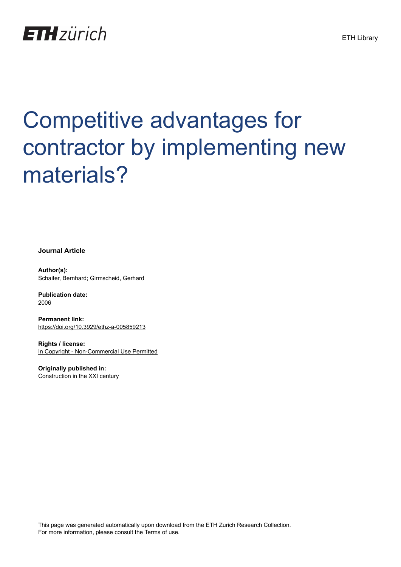## **ETH**zürich

# Competitive advantages for contractor by implementing new materials?

**Journal Article**

**Author(s):** Schaiter, Bernhard; Girmscheid, Gerhard

**Publication date:** 2006

**Permanent link:** <https://doi.org/10.3929/ethz-a-005859213>

**Rights / license:** [In Copyright - Non-Commercial Use Permitted](http://rightsstatements.org/page/InC-NC/1.0/)

**Originally published in:** Construction in the XXI century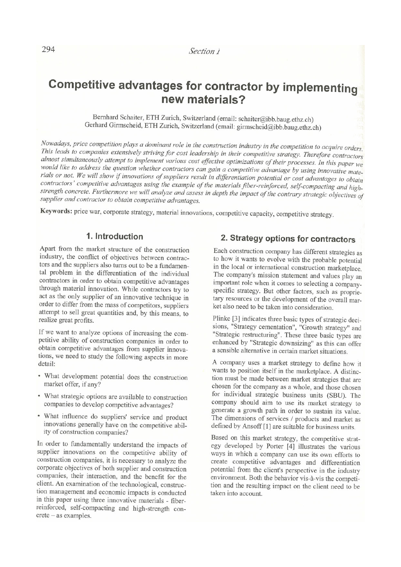## Competitive advantages for contractor by implementing new materials?

Bernhard Schaiter, ETH Zurich, Switzerland (email: schaiter@ibb.baug.ethz.ch) Gerhard Girmscheid, ETH Zurich, Switzerland (email: girmscheid@ibb.baug.ethz.ch)

Nowadays, price competition plays a dominant role in the construction industry in the competition to acquire orders. This leads to companies extensively striving for cost leadership in their competitive strategy. Therefore contractors almost simultaneously attempt to implement various cost effective optimizations of their processes. In this paper we would like to address the question whether contractors can gain a competitive advantage by using innovative materials or not. We will show if innovations of suppliers result in differentiation potential or cost advantages to obtain contractors' competitive advantages using the example of the materials fiber-reinforced, self-compacting and highstrength concrete. Furthermore we will analyze and assess in depth the impact of the contrary strategic objectives of supplier and contractor to obtain competitive advantages.

Keywords: price war, corporate strategy, material innovations, competitive capacity, competitive strategy.

#### 1. Introduction

Apart from the market structure of the construction industry, the conflict of objectives between contractors and the suppliers also turns out to be a fundamental problem in the differentiation of the individual contractors in order to obtain competitive advantages through material innovation. While contractors try to act as the only supplier of an innovative technique in order to differ from the mass of competitors, suppliers attempt to sell great quantities and, by this means, to realize great profits.

If we want to analyze options of increasing the competitive ability of construction companies in order to obtain competitive advantages from supplier innovations, we need to study the following aspects in more detail:

- What development potential does the construction market offer, if any?
- What strategic options are available to construction companies to develop competitive advantages?
- What influence do suppliers' service and product innovations generally have on the competitive ability of construction companies?

In order to fundamentally understand the impacts of supplier innovations on the competitive ability of construction companies, it is necessary to analyze the corporate objectives of both supplier and construction companies, their interaction, and the benefit for the client. An examination of the technological, construction management and economic impacts is conducted in this paper using three innovative materials - fiberreinforced, self-compacting and high-strength con $crete - as examples.$ 

#### 2. Strategy options for contractors

Each construction company has different strategies as to how it wants to evolve with the probable potential in the local or international construction marketplace. The company's mission statement and values play an important role when it comes to selecting a companyspecific strategy. But other factors, such as proprietary resources or the development of the overall market also need to be taken into consideration.

Plinke [3] indicates three basic types of strategic decisions, "Strategy cementation", "Growth strategy" and "Strategic restructuring". These three basic types are enhanced by "Strategic downsizing" as this can offer a sensible alternative in certain market situations.

A company uses a market strategy to define how it wants to position itself in the marketplace. A distinction must be made between market strategies that are chosen for the company as a whole, and those chosen for individual strategic business units (SBU). The company should aim to use its market strategy to generate a growth path in order to sustain its value. The dimensions of services / products and market as defined by Ansoff [1] are suitable for business units.

Based on this market strategy, the competitive strategy developed by Porter [4] illustrates the various ways in which a company can use its own efforts to create competitive advantages and differentiation potential from the client's perspective in the industry environment. Both the behavior vis-à-vis the competition and the resulting impact on the client need to be taken into account.

294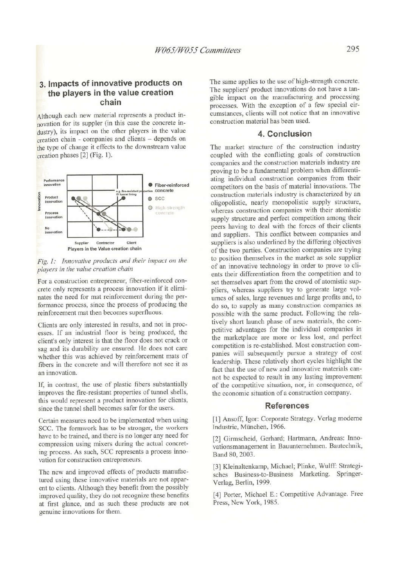#### 3. Impacts of innovative products on the players in the value creation chain

Although each new material represents a product innovation for its suppler (in this case the concrete industry), its impact on the other players in the value creation chain - companies and clients - depends on the type of change it effects to the downstream value creation phases [2] (Fig. 1).



Fig. 1: Innovative products and their impact on the players in the value creation chain

For a construction entrepreneur, fiber-reinforced concrete only represents a process innovation if it eliminates the need for mat reinforcement during the performance process, since the process of producing the reinforcement mat then becomes superfluous.

Clients are only interested in results, and not in processes. If an industrial floor is being produced, the client's only interest is that the floor does not crack or sag and its durability are ensured. He does not care whether this was achieved by reinforcement mats of fibers in the concrete and will therefore not see it as an innovation.

If, in contrast, the use of plastic fibers substantially improves the fire-resistant properties of tunnel shells, this would represent a product innovation for clients, since the tunnel shell becomes safer for the users.

Certain measures need to be implemented when using SCC. The formwork has to be stronger, the workers have to be trained, and there is no longer any need for compression using mixers during the actual concreting process. As such, SCC represents a process innovation for construction entrepreneurs.

The new and improved effects of products manufactured using these innovative materials are not apparent to clients. Although they benefit from the possibly improved quality, they do not recognize these benefits at first glance, and as such these products are not genuine innovations for them.

The same applies to the use of high-strength concrete. The suppliers' product innovations do not have a tangible impact on the manufacturing and processing processes. With the exception of a few special circumstances, clients will not notice that an innovative construction material has been used.

#### 4. Conclusion

The market structure of the construction industry coupled with the conflicting goals of construction companies and the construction materials industry are proving to be a fundamental problem when differentiating individual construction companies from their competitors on the basis of material innovations. The construction materials industry is characterized by an oligopolistic, nearly monopolistic supply structure. whereas construction companies with their atomistic supply structure and perfect competition among their peers having to deal with the forces of their clients and suppliers. This conflict between companies and suppliers is also underlined by the differing objectives of the two parties. Construction companies are trying to position themselves in the market as sole supplier of an innovative technology in order to prove to clients their differentiation from the competition and to set themselves apart from the crowd of atomistic suppliers, whereas suppliers try to generate large volumes of sales, large revenues and large profits and, to do so, to supply as many construction companies as possible with the same product. Following the relatively short launch phase of new materials, the competitive advantages for the individual companies in the marketplace are more or less lost, and perfect competition is re-established. Most construction companies will subsequently pursue a strategy of cost leadership. These relatively short cycles highlight the fact that the use of new and innovative materials cannot be expected to result in any lasting improvement of the competitive situation, nor, in consequence, of the economic situation of a construction company.

#### **References**

[1] Ansoff, Igor: Corporate Strategy. Verlag moderne Industrie, München, 1966.

[2] Girmscheid, Gerhard; Hartmann, Andreas: Innovationsmanagement in Bauunternehmen. Bautechnik, Band 80, 2003.

[3] Kleinaltenkamp, Michael; Plinke, Wulff: Strategisches Business-to-Business Marketing. Springer-Verlag, Berlin, 1999.

[4] Porter, Michael E.: Competitive Advantage. Free Press, New York, 1985.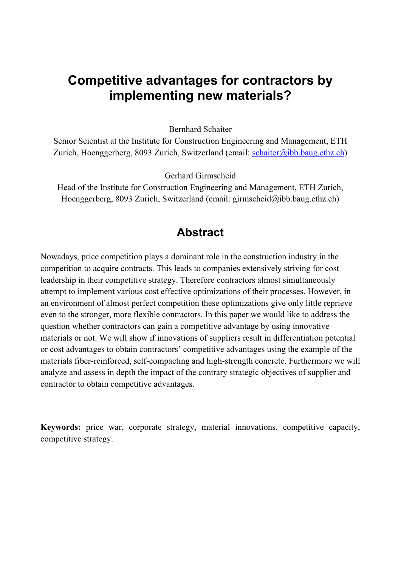## **Competitive advantages for contractors by implementing new materials?**

Bernhard Schaiter

Senior Scientist at the Institute for Construction Engineering and Management, ETH Zurich, Hoenggerberg, 8093 Zurich, Switzerland (email: schaiter@ibb.baug.ethz.ch)

Gerhard Girmscheid

Head of the Institute for Construction Engineering and Management, ETH Zurich, Hoenggerberg, 8093 Zurich, Switzerland (email: girmscheid@ibb.baug.ethz.ch)

### **Abstract**

Nowadays, price competition plays a dominant role in the construction industry in the competition to acquire contracts. This leads to companies extensively striving for cost leadership in their competitive strategy. Therefore contractors almost simultaneously attempt to implement various cost effective optimizations of their processes. However, in an environment of almost perfect competition these optimizations give only little reprieve even to the stronger, more flexible contractors. In this paper we would like to address the question whether contractors can gain a competitive advantage by using innovative materials or not. We will show if innovations of suppliers result in differentiation potential or cost advantages to obtain contractors' competitive advantages using the example of the materials fiber-reinforced, self-compacting and high-strength concrete. Furthermore we will analyze and assess in depth the impact of the contrary strategic objectives of supplier and contractor to obtain competitive advantages.

**Keywords:** price war, corporate strategy, material innovations, competitive capacity, competitive strategy.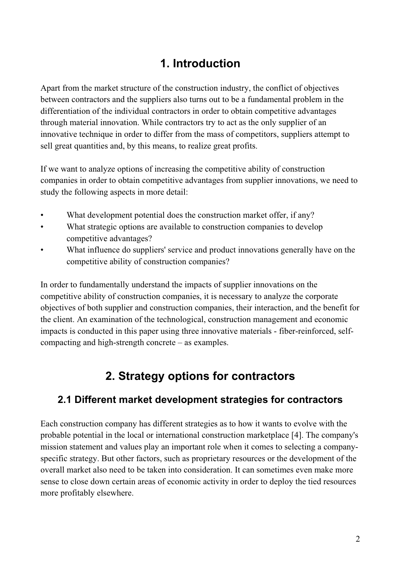## **1. Introduction**

Apart from the market structure of the construction industry, the conflict of objectives between contractors and the suppliers also turns out to be a fundamental problem in the differentiation of the individual contractors in order to obtain competitive advantages through material innovation. While contractors try to act as the only supplier of an innovative technique in order to differ from the mass of competitors, suppliers attempt to sell great quantities and, by this means, to realize great profits.

If we want to analyze options of increasing the competitive ability of construction companies in order to obtain competitive advantages from supplier innovations, we need to study the following aspects in more detail:

- What development potential does the construction market offer, if any?
- What strategic options are available to construction companies to develop competitive advantages?
- What influence do suppliers' service and product innovations generally have on the competitive ability of construction companies?

In order to fundamentally understand the impacts of supplier innovations on the competitive ability of construction companies, it is necessary to analyze the corporate objectives of both supplier and construction companies, their interaction, and the benefit for the client. An examination of the technological, construction management and economic impacts is conducted in this paper using three innovative materials - fiber-reinforced, selfcompacting and high-strength concrete – as examples.

## **2. Strategy options for contractors**

#### **2.1 Different market development strategies for contractors**

Each construction company has different strategies as to how it wants to evolve with the probable potential in the local or international construction marketplace [4]. The company's mission statement and values play an important role when it comes to selecting a companyspecific strategy. But other factors, such as proprietary resources or the development of the overall market also need to be taken into consideration. It can sometimes even make more sense to close down certain areas of economic activity in order to deploy the tied resources more profitably elsewhere.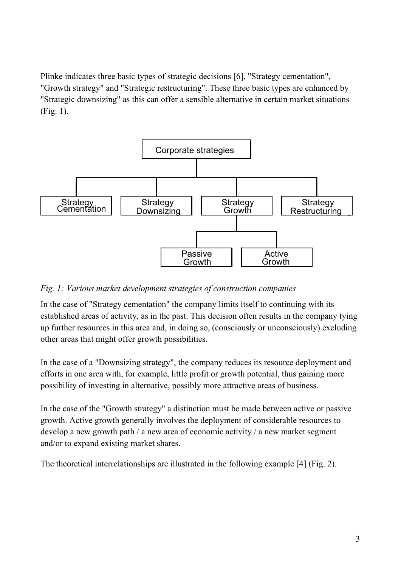Plinke indicates three basic types of strategic decisions [6], "Strategy cementation", "Growth strategy" and "Strategic restructuring". These three basic types are enhanced by "Strategic downsizing" as this can offer a sensible alternative in certain market situations (Fig. 1).



#### *Fig. 1: Various market development strategies of construction companies*

In the case of "Strategy cementation" the company limits itself to continuing with its established areas of activity, as in the past. This decision often results in the company tying up further resources in this area and, in doing so, (consciously or unconsciously) excluding other areas that might offer growth possibilities.

In the case of a "Downsizing strategy", the company reduces its resource deployment and efforts in one area with, for example, little profit or growth potential, thus gaining more possibility of investing in alternative, possibly more attractive areas of business.

In the case of the "Growth strategy" a distinction must be made between active or passive growth. Active growth generally involves the deployment of considerable resources to develop a new growth path / a new area of economic activity / a new market segment and/or to expand existing market shares.

The theoretical interrelationships are illustrated in the following example [4] (Fig. 2).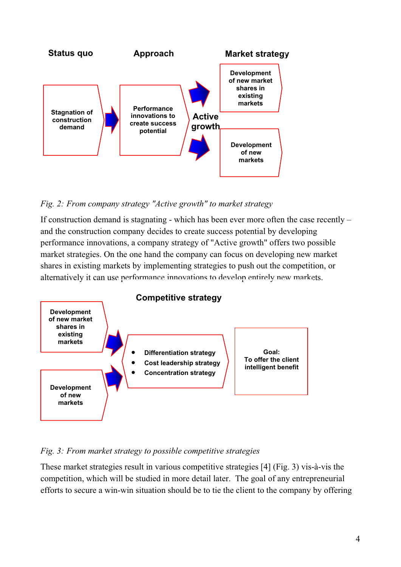

#### *Fig. 2: From company strategy "Active growth" to market strategy*

If construction demand is stagnating - which has been ever more often the case recently – and the construction company decides to create success potential by developing performance innovations, a company strategy of "Active growth" offers two possible market strategies. On the one hand the company can focus on developing new market shares in existing markets by implementing strategies to push out the competition, or alternatively it can use performance innovations to develop entirely new markets.



#### *Fig. 3: From market strategy to possible competitive strategies*

These market strategies result in various competitive strategies [4] (Fig. 3) vis-à-vis the competition, which will be studied in more detail later. The goal of any entrepreneurial efforts to secure a win-win situation should be to tie the client to the company by offering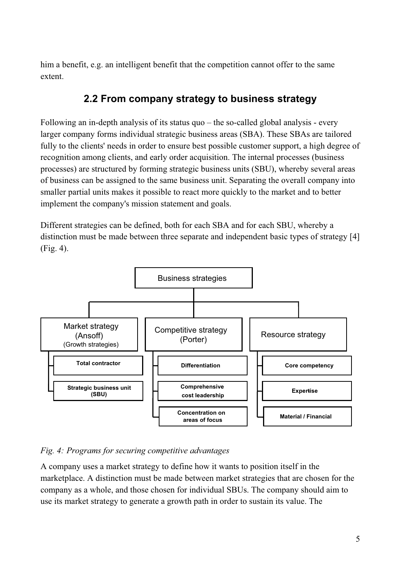him a benefit, e.g. an intelligent benefit that the competition cannot offer to the same extent.

## **2.2 From company strategy to business strategy**

Following an in-depth analysis of its status quo – the so-called global analysis - every larger company forms individual strategic business areas (SBA). These SBAs are tailored fully to the clients' needs in order to ensure best possible customer support, a high degree of recognition among clients, and early order acquisition. The internal processes (business processes) are structured by forming strategic business units (SBU), whereby several areas of business can be assigned to the same business unit. Separating the overall company into smaller partial units makes it possible to react more quickly to the market and to better implement the company's mission statement and goals.

Different strategies can be defined, both for each SBA and for each SBU, whereby a distinction must be made between three separate and independent basic types of strategy [4] (Fig. 4).



#### *Fig. 4: Programs for securing competitive advantages*

A company uses a market strategy to define how it wants to position itself in the marketplace. A distinction must be made between market strategies that are chosen for the company as a whole, and those chosen for individual SBUs. The company should aim to use its market strategy to generate a growth path in order to sustain its value. The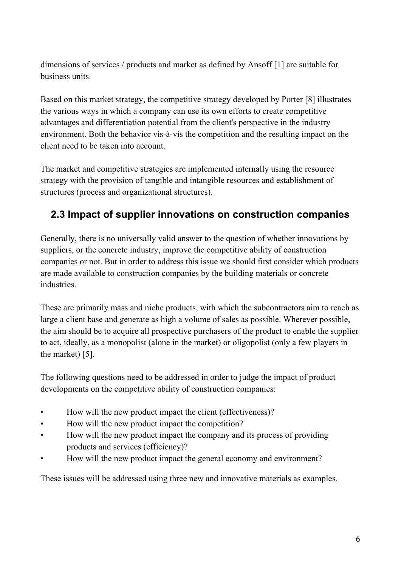dimensions of services / products and market as defined by Ansoff [1] are suitable for business units.

Based on this market strategy, the competitive strategy developed by Porter [8] illustrates the various ways in which a company can use its own efforts to create competitive advantages and differentiation potential from the client's perspective in the industry environment. Both the behavior vis-à-vis the competition and the resulting impact on the client need to be taken into account.

The market and competitive strategies are implemented internally using the resource strategy with the provision of tangible and intangible resources and establishment of structures (process and organizational structures).

## **2.3 Impact of supplier innovations on construction companies**

Generally, there is no universally valid answer to the question of whether innovations by suppliers, or the concrete industry, improve the competitive ability of construction companies or not. But in order to address this issue we should first consider which products are made available to construction companies by the building materials or concrete industries.

These are primarily mass and niche products, with which the subcontractors aim to reach as large a client base and generate as high a volume of sales as possible. Wherever possible, the aim should be to acquire all prospective purchasers of the product to enable the supplier to act, ideally, as a monopolist (alone in the market) or oligopolist (only a few players in the market) [5].

The following questions need to be addressed in order to judge the impact of product developments on the competitive ability of construction companies:

- How will the new product impact the client (effectiveness)?
- How will the new product impact the competition?
- How will the new product impact the company and its process of providing products and services (efficiency)?
- How will the new product impact the general economy and environment?

These issues will be addressed using three new and innovative materials as examples.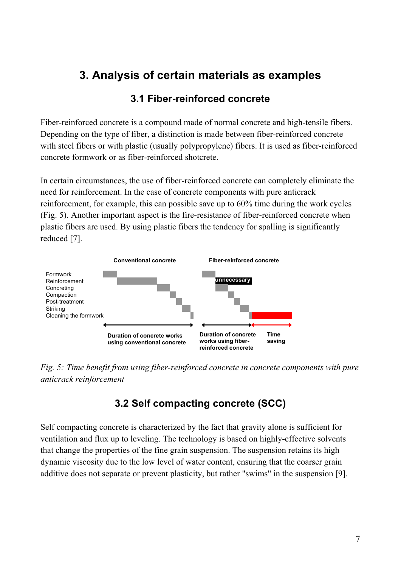## **3. Analysis of certain materials as examples**

#### **3.1 Fiber-reinforced concrete**

Fiber-reinforced concrete is a compound made of normal concrete and high-tensile fibers. Depending on the type of fiber, a distinction is made between fiber-reinforced concrete with steel fibers or with plastic (usually polypropylene) fibers. It is used as fiber-reinforced concrete formwork or as fiber-reinforced shotcrete.

In certain circumstances, the use of fiber-reinforced concrete can completely eliminate the need for reinforcement. In the case of concrete components with pure anticrack reinforcement, for example, this can possible save up to 60% time during the work cycles (Fig. 5). Another important aspect is the fire-resistance of fiber-reinforced concrete when plastic fibers are used. By using plastic fibers the tendency for spalling is significantly reduced [7].



*Fig. 5: Time benefit from using fiber-reinforced concrete in concrete components with pure anticrack reinforcement* 

## **3.2 Self compacting concrete (SCC)**

Self compacting concrete is characterized by the fact that gravity alone is sufficient for ventilation and flux up to leveling. The technology is based on highly-effective solvents that change the properties of the fine grain suspension. The suspension retains its high dynamic viscosity due to the low level of water content, ensuring that the coarser grain additive does not separate or prevent plasticity, but rather "swims" in the suspension [9].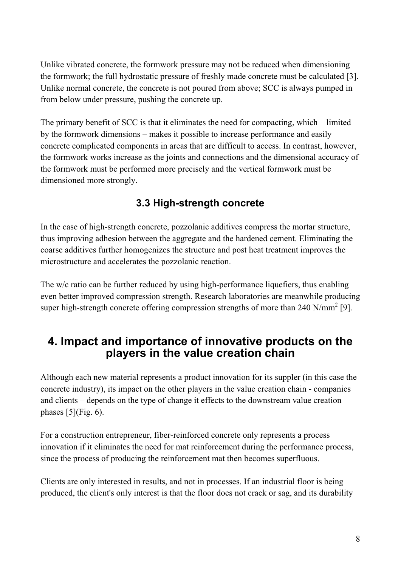Unlike vibrated concrete, the formwork pressure may not be reduced when dimensioning the formwork; the full hydrostatic pressure of freshly made concrete must be calculated [3]. Unlike normal concrete, the concrete is not poured from above; SCC is always pumped in from below under pressure, pushing the concrete up.

The primary benefit of SCC is that it eliminates the need for compacting, which – limited by the formwork dimensions – makes it possible to increase performance and easily concrete complicated components in areas that are difficult to access. In contrast, however, the formwork works increase as the joints and connections and the dimensional accuracy of the formwork must be performed more precisely and the vertical formwork must be dimensioned more strongly.

## **3.3 High-strength concrete**

In the case of high-strength concrete, pozzolanic additives compress the mortar structure, thus improving adhesion between the aggregate and the hardened cement. Eliminating the coarse additives further homogenizes the structure and post heat treatment improves the microstructure and accelerates the pozzolanic reaction.

The w/c ratio can be further reduced by using high-performance liquefiers, thus enabling even better improved compression strength. Research laboratories are meanwhile producing super high-strength concrete offering compression strengths of more than 240 N/mm<sup>2</sup> [9].

## **4. Impact and importance of innovative products on the players in the value creation chain**

Although each new material represents a product innovation for its suppler (in this case the concrete industry), its impact on the other players in the value creation chain - companies and clients – depends on the type of change it effects to the downstream value creation phases  $[5]$ (Fig. 6).

For a construction entrepreneur, fiber-reinforced concrete only represents a process innovation if it eliminates the need for mat reinforcement during the performance process, since the process of producing the reinforcement mat then becomes superfluous.

Clients are only interested in results, and not in processes. If an industrial floor is being produced, the client's only interest is that the floor does not crack or sag, and its durability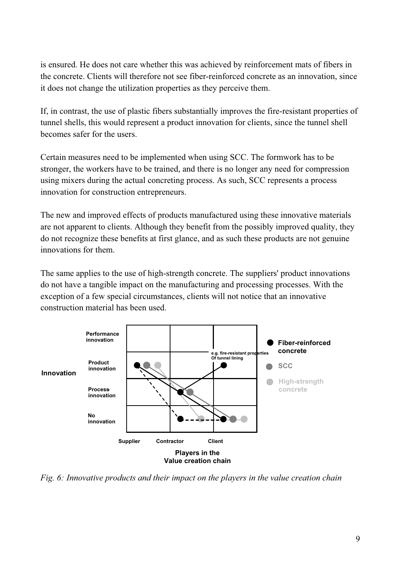is ensured. He does not care whether this was achieved by reinforcement mats of fibers in the concrete. Clients will therefore not see fiber-reinforced concrete as an innovation, since it does not change the utilization properties as they perceive them.

If, in contrast, the use of plastic fibers substantially improves the fire-resistant properties of tunnel shells, this would represent a product innovation for clients, since the tunnel shell becomes safer for the users.

Certain measures need to be implemented when using SCC. The formwork has to be stronger, the workers have to be trained, and there is no longer any need for compression using mixers during the actual concreting process. As such, SCC represents a process innovation for construction entrepreneurs.

The new and improved effects of products manufactured using these innovative materials are not apparent to clients. Although they benefit from the possibly improved quality, they do not recognize these benefits at first glance, and as such these products are not genuine innovations for them.

The same applies to the use of high-strength concrete. The suppliers' product innovations do not have a tangible impact on the manufacturing and processing processes. With the exception of a few special circumstances, clients will not notice that an innovative construction material has been used.



*Fig. 6: Innovative products and their impact on the players in the value creation chain*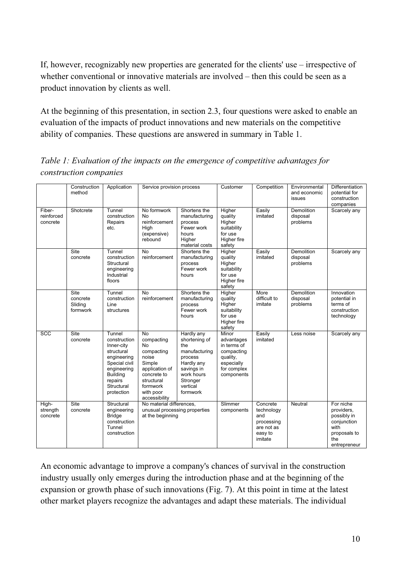If, however, recognizably new properties are generated for the clients' use – irrespective of whether conventional or innovative materials are involved – then this could be seen as a product innovation by clients as well.

At the beginning of this presentation, in section 2.3, four questions were asked to enable an evaluation of the impacts of product innovations and new materials on the competitive ability of companies. These questions are answered in summary in Table 1.

|                                  | Construction<br>method                  | Application                                                                                                                                                 | Service provision process                                                                                                                               |                                                                                                                                              | Customer                                                                                                | Competition                                                                     | Environmental<br>and economic<br>issues   | <b>Differentiation</b><br>potential for<br>construction<br>companies                                 |
|----------------------------------|-----------------------------------------|-------------------------------------------------------------------------------------------------------------------------------------------------------------|---------------------------------------------------------------------------------------------------------------------------------------------------------|----------------------------------------------------------------------------------------------------------------------------------------------|---------------------------------------------------------------------------------------------------------|---------------------------------------------------------------------------------|-------------------------------------------|------------------------------------------------------------------------------------------------------|
| Fiber-<br>reinforced<br>concrete | Shotcrete                               | Tunnel<br>construction<br>Repairs<br>etc.                                                                                                                   | No formwork<br>No<br>reinforcement<br>High<br>(expensive)<br>rebound                                                                                    | Shortens the<br>manufacturing<br>process<br>Fewer work<br>hours<br>Higher<br>material costs                                                  | Higher<br>quality<br>Higher<br>suitability<br>for use<br>Higher fire<br>safety                          | Easily<br>imitated                                                              | Demolition<br>disposal<br>problems        | Scarcely any                                                                                         |
|                                  | Site<br>concrete                        | Tunnel<br>construction<br>Structural<br>engineering<br>Industrial<br>floors                                                                                 | <b>No</b><br>reinforcement                                                                                                                              | Shortens the<br>manufacturing<br>process<br>Fewer work<br>hours                                                                              | Higher<br>quality<br>Higher<br>suitability<br>for use<br>Higher fire<br>safety                          | Easily<br>imitated                                                              | Demolition<br>disposal<br>problems        | Scarcely any                                                                                         |
|                                  | Site<br>concrete<br>Sliding<br>formwork | Tunnel<br>construction<br>Line<br>structures                                                                                                                | $\overline{N}$<br>reinforcement                                                                                                                         | Shortens the<br>manufacturing<br>process<br>Fewer work<br>hours                                                                              | Higher<br>quality<br>Higher<br>suitability<br>for use<br>Higher fire<br>safety                          | More<br>difficult to<br>imitate                                                 | <b>Demolition</b><br>disposal<br>problems | Innovation<br>potential in<br>terms of<br>construction<br>technology                                 |
| <b>SCC</b>                       | Site<br>concrete                        | Tunnel<br>construction<br>Inner-city<br>structural<br>engineering<br>Special civil<br>engineering<br><b>Building</b><br>repairs<br>Structural<br>protection | <b>No</b><br>compacting<br>No<br>compacting<br>noise<br>Simple<br>application of<br>concrete to<br>structural<br>formwork<br>with poor<br>accessibility | Hardly any<br>shortening of<br>the<br>manufacturing<br>process<br>Hardly any<br>savings in<br>work hours<br>Stronger<br>vertical<br>formwork | Minor<br>advantages<br>in terms of<br>compacting<br>quality,<br>especially<br>for complex<br>components | Easily<br>imitated                                                              | Less noise                                | Scarcely any                                                                                         |
| High-<br>strength<br>concrete    | Site<br>concrete                        | Structural<br>engineering<br><b>Bridge</b><br>construction<br>Tunnel<br>construction                                                                        | No material differences.<br>unusual processing properties<br>at the beginning                                                                           |                                                                                                                                              | Slimmer<br>components                                                                                   | Concrete<br>technology<br>and<br>processing<br>are not as<br>easy to<br>imitate | Neutral                                   | For niche<br>providers,<br>possibly in<br>conjunction<br>with<br>proposals to<br>the<br>entrepreneur |

*Table 1: Evaluation of the impacts on the emergence of competitive advantages for construction companies* 

An economic advantage to improve a company's chances of survival in the construction industry usually only emerges during the introduction phase and at the beginning of the expansion or growth phase of such innovations (Fig. 7). At this point in time at the latest other market players recognize the advantages and adapt these materials. The individual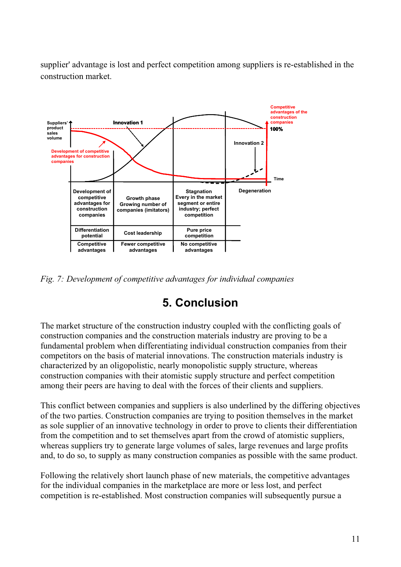supplier' advantage is lost and perfect competition among suppliers is re-established in the construction market.



*Fig. 7: Development of competitive advantages for individual companies* 

## **5. Conclusion**

The market structure of the construction industry coupled with the conflicting goals of construction companies and the construction materials industry are proving to be a fundamental problem when differentiating individual construction companies from their competitors on the basis of material innovations. The construction materials industry is characterized by an oligopolistic, nearly monopolistic supply structure, whereas construction companies with their atomistic supply structure and perfect competition among their peers are having to deal with the forces of their clients and suppliers.

This conflict between companies and suppliers is also underlined by the differing objectives of the two parties. Construction companies are trying to position themselves in the market as sole supplier of an innovative technology in order to prove to clients their differentiation from the competition and to set themselves apart from the crowd of atomistic suppliers, whereas suppliers try to generate large volumes of sales, large revenues and large profits and, to do so, to supply as many construction companies as possible with the same product.

Following the relatively short launch phase of new materials, the competitive advantages for the individual companies in the marketplace are more or less lost, and perfect competition is re-established. Most construction companies will subsequently pursue a